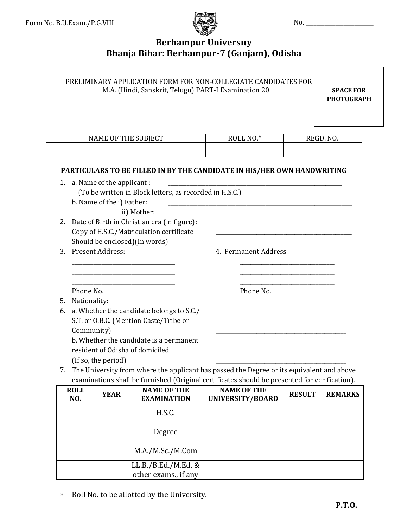

# **Berhampur University Bhanja Bihar: Berhampur-7 (Ganjam), Odisha**

|                                                |                    |                                                           |                                                                                                                                                                   | PRELIMINARY APPLICATION FORM FOR NON-COLLEGIATE CANDIDATES FOR<br>M.A. (Hindi, Sanskrit, Telugu) PART-I Examination 20___                                                                           |               | <b>SPACE FOR</b><br><b>PHOTOGRAPH</b> |
|------------------------------------------------|--------------------|-----------------------------------------------------------|-------------------------------------------------------------------------------------------------------------------------------------------------------------------|-----------------------------------------------------------------------------------------------------------------------------------------------------------------------------------------------------|---------------|---------------------------------------|
|                                                |                    |                                                           | NAME OF THE SUBJECT                                                                                                                                               | ROLL NO.*                                                                                                                                                                                           |               | REGD. NO.                             |
|                                                |                    | 1. a. Name of the applicant:<br>b. Name of the i) Father: | (To be written in Block letters, as recorded in H.S.C.)<br>ii) Mother:                                                                                            | PARTICULARS TO BE FILLED IN BY THE CANDIDATE IN HIS/HER OWN HANDWRITING<br><u> 2000 - Jan Alexandro Alexandro Alexandro Alexandro Alexandro Alexandro Alexandro Alexandro Alexandro Alexandro A</u> |               |                                       |
| 2.                                             |                    |                                                           | Date of Birth in Christian era (in figure):<br>Copy of H.S.C./Matriculation certificate<br>Should be enclosed)(In words)                                          | <u> 2000 - Januar Amerikaanse kommunister van die Berger van die Berger van die Berger van die Berger van die Berg</u>                                                                              |               |                                       |
| Present Address:<br>4. Permanent Address<br>3. |                    |                                                           |                                                                                                                                                                   |                                                                                                                                                                                                     |               |                                       |
|                                                |                    |                                                           | <u> 1989 - Johann John Stone, mensk politik fotograf (d. 1989)</u><br>Phone No. _______________________                                                           | Phone No. ___________________                                                                                                                                                                       |               |                                       |
| 5.                                             | Nationality:       |                                                           |                                                                                                                                                                   |                                                                                                                                                                                                     |               |                                       |
| 6.                                             | Community)         | (If so, the period)                                       | a. Whether the candidate belongs to S.C./<br>S.T. or O.B.C. (Mention Caste/Tribe or<br>b. Whether the candidate is a permanent<br>resident of Odisha of domiciled |                                                                                                                                                                                                     |               |                                       |
|                                                |                    |                                                           |                                                                                                                                                                   | The University from where the applicant has passed the Degree or its equivalent and above<br>examinations shall be furnished (Original certificates should be presented for verification).          |               |                                       |
|                                                | <b>ROLL</b><br>NO. | <b>YEAR</b>                                               | <b>NAME OF THE</b><br><b>EXAMINATION</b>                                                                                                                          | <b>NAME OF THE</b><br><b>UNIVERSITY/BOARD</b>                                                                                                                                                       | <b>RESULT</b> | <b>REMARKS</b>                        |
|                                                |                    |                                                           | H.S.C.                                                                                                                                                            |                                                                                                                                                                                                     |               |                                       |
|                                                |                    |                                                           | Degree                                                                                                                                                            |                                                                                                                                                                                                     |               |                                       |
|                                                |                    |                                                           | M.A./M.Sc./M.Com                                                                                                                                                  |                                                                                                                                                                                                     |               |                                       |

LL.B./B.Ed./M.Ed. & other exams., if any

\_\_\_\_\_\_\_\_\_\_\_\_\_\_\_\_\_\_\_\_\_\_\_\_\_\_\_\_\_\_\_\_\_\_\_\_\_\_\_\_\_\_\_\_\_\_\_\_\_\_\_\_\_\_\_\_\_\_\_\_\_\_\_\_\_\_\_\_\_\_\_\_\_\_\_\_\_\_\_\_\_\_\_\_\_\_\_\_\_\_\_\_\_\_\_\_\_\_\_\_\_\_\_\_\_\_\_\_\_\_\_\_\_\_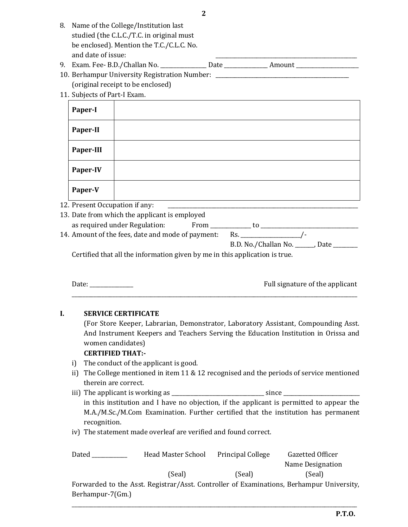| 8. Name of the College/Institution last   |      |        |  |  |
|-------------------------------------------|------|--------|--|--|
| studied (the C.L.C./T.C. in original must |      |        |  |  |
| be enclosed). Mention the T.C./C.L.C. No. |      |        |  |  |
| and date of issue:                        |      |        |  |  |
| 9. Exam. Fee- B.D./Challan No.            | Date | Amount |  |  |

D./Challan No. \_\_\_\_\_\_\_\_\_\_\_\_\_\_\_\_ Date \_\_\_\_\_\_\_\_\_\_\_\_\_\_\_ Amount \_\_\_\_\_\_\_\_\_\_\_\_\_\_\_\_\_\_\_\_ 10. Berhampur University Registration Number: \_\_\_\_\_\_\_\_\_\_\_\_\_\_\_\_\_\_\_\_\_\_\_\_\_\_\_\_\_\_\_\_\_\_

(original receipt to be enclosed) 11. Subjects of Part-I Exam.

| Paper-I                                             |  |
|-----------------------------------------------------|--|
| Paper-II                                            |  |
| Paper-III                                           |  |
| Paper-IV                                            |  |
| Paper-V                                             |  |
| $D_{\text{non}} + \Omega_{\text{non}} + \mathbf{1}$ |  |

12. Present Occupation if any:

| 13. Date from which the applicant is employed     |      |                      |        |  |
|---------------------------------------------------|------|----------------------|--------|--|
| as required under Regulation:                     | From | tΩ                   |        |  |
| 14. Amount of the fees, date and mode of payment: |      | Rs.                  |        |  |
|                                                   |      | B.D. No./Challan No. | . Date |  |
|                                                   |      |                      |        |  |

Certified that all the information given by me in this application is true.

| Date: | Full signature of the applicant |
|-------|---------------------------------|
|       |                                 |

#### **I. SERVICE CERTIFICATE**

(For Store Keeper, Labrarian, Demonstrator, Laboratory Assistant, Compounding Asst. And Instrument Keepers and Teachers Serving the Education Institution in Orissa and women candidates)

#### **CERTIFIED THAT:-**

- i) The conduct of the applicant is good.
- ii) The College mentioned in item 11 & 12 recognised and the periods of service mentioned therein are correct.
- iii) The applicant is working as \_\_\_\_\_\_\_\_\_\_\_\_\_\_\_\_\_\_\_\_\_\_\_\_\_\_\_\_\_\_\_\_\_\_ since \_\_\_\_\_\_\_\_\_\_\_\_\_\_\_\_\_\_\_\_\_\_\_\_\_\_\_\_ in this institution and I have no objection, if the applicant is permitted to appear the M.A./M.Sc./M.Com Examination. Further certified that the institution has permanent recognition.

iv) The statement made overleaf are verified and found correct.

| Dated            | Head Master School | <b>Principal College</b> | Gazetted Officer                                                                         |
|------------------|--------------------|--------------------------|------------------------------------------------------------------------------------------|
|                  |                    |                          | Name Designation                                                                         |
|                  | (Seal)             | (Seal)                   | (Seal)                                                                                   |
|                  |                    |                          | Forwarded to the Asst. Registrar/Asst. Controller of Examinations, Berhampur University, |
| Berhampur-7(Gm.) |                    |                          |                                                                                          |

\_\_\_\_\_\_\_\_\_\_\_\_\_\_\_\_\_\_\_\_\_\_\_\_\_\_\_\_\_\_\_\_\_\_\_\_\_\_\_\_\_\_\_\_\_\_\_\_\_\_\_\_\_\_\_\_\_\_\_\_\_\_\_\_\_\_\_\_\_\_\_\_\_\_\_\_\_\_\_\_\_\_\_\_\_\_\_\_\_\_\_\_\_\_\_\_\_\_\_\_\_\_\_\_\_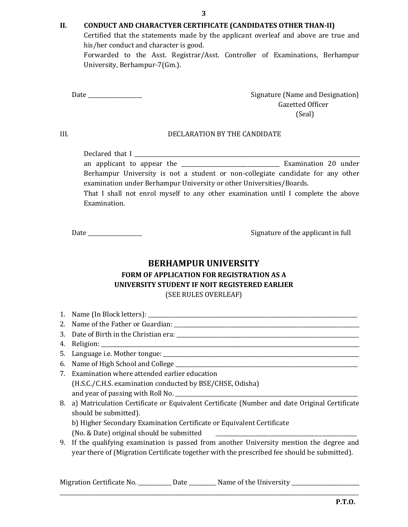#### **II. CONDUCT AND CHARACTYER CERTIFICATE (CANDIDATES OTHER THAN-II)**

Certified that the statements made by the applicant overleaf and above are true and his/her conduct and character is good.

Forwarded to the Asst. Registrar/Asst. Controller of Examinations, Berhampur University, Berhampur-7(Gm.).

Date **Date Example 2** and Designature (Name and Designation) Gazetted Officer (Seal)

#### III. DECLARATION BY THE CANDIDATE

Declared that I \_\_\_\_\_\_\_\_\_\_\_\_\_\_\_\_\_\_\_\_\_\_\_\_\_\_\_\_\_\_\_\_\_\_\_\_\_\_\_\_\_\_\_\_\_\_\_\_\_\_\_\_\_\_\_\_\_\_\_\_\_\_\_\_\_\_\_\_\_\_\_\_\_\_\_\_\_\_\_\_\_\_\_ an applicant to appear the \_\_\_\_\_\_\_\_\_\_\_\_\_\_\_\_\_\_\_\_\_\_\_\_\_\_\_\_\_\_\_\_\_\_\_\_ Examination 20 under Berhampur University is not a student or non-collegiate candidate for any other examination under Berhampur University or other Universities/Boards. That I shall not enrol myself to any other examination until I complete the above Examination.

Date \_\_\_\_\_\_\_\_\_\_\_\_\_\_\_\_\_\_\_\_ Signature of the applicant in full

## **BERHAMPUR UNIVERSITY**

### **FORM OF APPLICATION FOR REGISTRATION AS A UNIVERSITY STUDENT IF NOIT REGISTERED EARLIER** (SEE RULES OVERLEAF)

- 1. Name (In Block letters): \_\_\_\_\_\_\_\_\_\_\_\_\_\_\_\_\_\_\_\_\_\_\_\_\_\_\_\_\_\_\_\_\_\_\_\_\_\_\_\_\_\_\_\_\_\_\_\_\_\_\_\_\_\_\_\_\_\_\_\_\_\_\_\_\_\_\_\_\_\_\_\_\_\_\_\_\_
- 2. Name of the Father or Guardian: \_\_\_\_\_\_\_\_\_\_\_\_\_\_\_\_\_\_\_\_\_\_\_\_\_\_\_\_\_\_\_\_\_\_\_\_\_\_\_\_\_\_\_\_\_\_\_\_\_\_\_\_\_\_\_\_\_\_\_\_\_\_\_\_\_\_\_\_
- 3. Date of Birth in the Christian era: \_\_\_\_\_\_\_\_\_\_\_\_\_\_\_\_\_\_\_\_\_\_\_\_\_\_\_\_\_\_\_\_\_\_\_\_\_\_\_\_\_\_\_\_\_\_\_\_\_\_\_\_\_\_\_\_\_\_\_\_\_\_\_\_\_\_\_
- 4. Religion:
- 5. Language i.e. Mother tongue: \_\_\_\_\_\_\_\_\_\_\_\_\_\_\_\_\_\_\_\_\_\_\_\_\_\_\_\_\_\_\_\_\_\_\_\_\_\_\_\_\_\_\_\_\_\_\_\_\_\_\_\_\_\_\_\_\_\_\_\_\_\_\_\_\_\_\_\_\_\_\_\_
- 6. Name of High School and College \_\_\_\_\_\_\_\_\_\_\_\_\_\_\_\_\_\_\_\_\_\_\_\_\_\_\_\_\_\_\_\_\_\_\_\_\_\_\_\_\_\_\_\_\_\_\_\_\_\_\_\_\_\_\_\_\_\_\_\_\_\_\_\_\_\_\_
- 7. Examination where attended earlier education (H.S.C./C.H.S. examination conducted by BSE/CHSE, Odisha) and year of passing with Roll No. \_\_\_\_\_\_\_\_\_\_\_\_\_\_\_\_\_\_\_\_\_\_\_\_\_\_\_\_\_\_\_\_\_\_\_\_\_\_\_\_\_\_\_\_\_\_\_\_\_\_\_\_\_\_\_\_\_\_\_\_\_\_\_\_\_\_\_
- 8. a) Matriculation Certificate or Equivalent Certificate (Number and date Original Certificate should be submitted).
	- b) Higher Secondary Examination Certificate or Equivalent Certificate
	- (No. & Date) original should be submitted
- 9. If the qualifying examination is passed from another University mention the degree and year there of (Migration Certificate together with the prescribed fee should be submitted).

\_\_\_\_\_\_\_\_\_\_\_\_\_\_\_\_\_\_\_\_\_\_\_\_\_\_\_\_\_\_\_\_\_\_\_\_\_\_\_\_\_\_\_\_\_\_\_\_\_\_\_\_\_\_\_\_\_\_\_\_\_\_\_\_\_\_\_\_\_\_\_\_\_\_\_\_\_\_\_\_\_\_\_\_\_\_\_\_\_\_\_\_\_\_\_\_\_\_\_\_\_\_\_\_\_\_\_\_\_\_

Migration Certificate No. \_\_\_\_\_\_\_\_\_\_\_ Date \_\_\_\_\_\_\_\_\_ Name of the University \_\_\_\_\_\_\_\_\_\_\_\_\_\_\_\_\_\_\_\_\_\_\_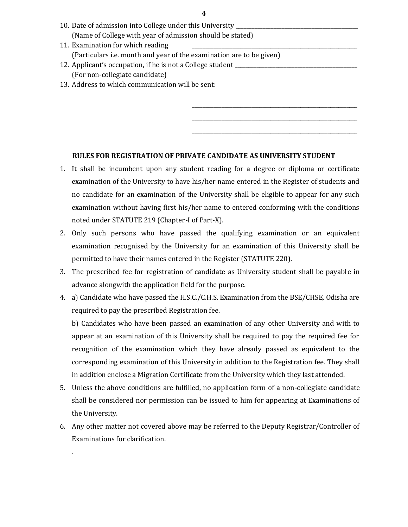| 10. Date of admission into College under this University ________________________ |  |  |  |  |
|-----------------------------------------------------------------------------------|--|--|--|--|
| (Name of College with year of admission should be stated)                         |  |  |  |  |
| 11. Examination for which reading                                                 |  |  |  |  |
| (Particulars i.e. month and year of the examination are to be given)              |  |  |  |  |
| 12. Applicant's occupation, if he is not a College student                        |  |  |  |  |
| (For non-collegiate candidate)                                                    |  |  |  |  |
| 13. Address to which communication will be sent:                                  |  |  |  |  |
|                                                                                   |  |  |  |  |
|                                                                                   |  |  |  |  |

\_\_\_\_\_\_\_\_\_\_\_\_\_\_\_\_\_\_\_\_\_\_\_\_\_\_\_\_\_\_\_\_\_\_\_\_\_\_\_\_\_\_\_\_\_\_\_\_\_\_\_\_\_\_\_\_\_\_\_\_\_ \_\_\_\_\_\_\_\_\_\_\_\_\_\_\_\_\_\_\_\_\_\_\_\_\_\_\_\_\_\_\_\_\_\_\_\_\_\_\_\_\_\_\_\_\_\_\_\_\_\_\_\_\_\_\_\_\_\_\_\_\_

#### **RULES FOR REGISTRATION OF PRIVATE CANDIDATE AS UNIVERSITY STUDENT**

- 1. It shall be incumbent upon any student reading for a degree or diploma or certificate examination of the University to have his/her name entered in the Register of students and no candidate for an examination of the University shall be eligible to appear for any such examination without having first his/her name to entered conforming with the conditions noted under STATUTE 219 (Chapter-I of Part-X).
- 2. Only such persons who have passed the qualifying examination or an equivalent examination recognised by the University for an examination of this University shall be permitted to have their names entered in the Register (STATUTE 220).
- 3. The prescribed fee for registration of candidate as University student shall be payable in advance alongwith the application field for the purpose.
- 4. a) Candidate who have passed the H.S.C./C.H.S. Examination from the BSE/CHSE, Odisha are required to pay the prescribed Registration fee.

b) Candidates who have been passed an examination of any other University and with to appear at an examination of this University shall be required to pay the required fee for recognition of the examination which they have already passed as equivalent to the corresponding examination of this University in addition to the Registration fee. They shall in addition enclose a Migration Certificate from the University which they last attended.

- 5. Unless the above conditions are fulfilled, no application form of a non-collegiate candidate shall be considered nor permission can be issued to him for appearing at Examinations of the University.
- 6. Any other matter not covered above may be referred to the Deputy Registrar/Controller of Examinations for clarification.

.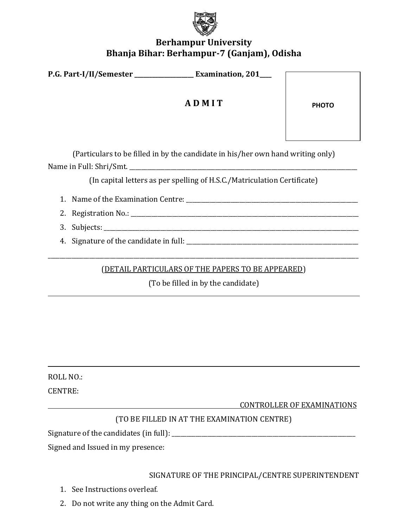

# **Berhampur University Bhanja Bihar: Berhampur-7 (Ganjam), Odisha**

| <b>P.G. Part-I/II/Semester</b> | <b>Examination, 201</b> |  |
|--------------------------------|-------------------------|--|
|                                |                         |  |

# **A D M I T**

**PHOTO**

(Particulars to be filled in by the candidate in his/her own hand writing only) Name in Full: Shri/Smt. \_\_\_\_\_\_\_\_\_\_\_\_\_\_\_\_\_\_\_\_\_\_\_\_\_\_\_\_\_\_\_\_\_\_\_\_\_\_\_\_\_\_\_\_\_\_\_\_\_\_\_\_\_\_\_\_\_\_\_\_\_\_\_\_\_\_\_\_\_\_\_\_\_\_\_\_\_

(In capital letters as per spelling of H.S.C./Matriculation Certificate)

1. Name of the Examination Centre: \_\_\_\_\_\_\_\_\_\_\_\_\_\_\_\_\_\_\_\_\_\_\_\_\_\_\_\_\_\_\_\_\_\_\_\_\_\_\_\_\_\_\_\_\_\_\_\_\_\_\_\_\_\_\_\_\_\_

2. Registration No.:

3. Subjects: \_\_\_\_\_\_\_\_\_\_\_\_\_\_\_\_\_\_\_\_\_\_\_\_\_\_\_\_\_\_\_\_\_\_\_\_\_\_\_\_\_\_\_\_\_\_\_\_\_\_\_\_\_\_\_\_\_\_\_\_\_\_\_\_\_\_\_\_\_\_\_\_\_\_\_\_\_\_\_\_\_\_\_\_\_\_

4. Signature of the candidate in full: \_\_\_\_\_\_\_\_\_\_\_\_\_\_\_\_\_\_\_\_\_\_\_\_\_\_\_\_\_\_\_\_\_\_\_\_\_\_\_\_\_\_\_\_\_\_\_\_\_\_\_\_\_\_\_\_\_\_

(DETAIL PARTICULARS OF THE PAPERS TO BE APPEARED)

\_\_\_\_\_\_\_\_\_\_\_\_\_\_\_\_\_\_\_\_\_\_\_\_\_\_\_\_\_\_\_\_\_\_\_\_\_\_\_\_\_\_\_\_\_\_\_\_\_\_\_\_\_\_\_\_\_\_\_\_\_\_\_\_\_\_\_\_\_\_\_\_\_\_\_\_\_\_\_\_\_\_\_\_\_\_\_\_\_\_\_\_\_\_\_\_\_\_\_\_\_\_\_\_\_

(To be filled in by the candidate)

ROLL NO.:

CENTRE:

CONTROLLER OF EXAMINATIONS

# (TO BE FILLED IN AT THE EXAMINATION CENTRE)

Signature of the candidates (in full): \_\_\_\_\_\_\_\_\_\_\_\_\_\_\_\_\_\_\_\_\_\_\_\_\_\_\_\_\_\_\_\_\_\_\_\_\_\_\_\_\_\_\_\_\_\_\_\_\_\_\_\_\_\_\_\_\_\_\_\_\_\_

Signed and Issued in my presence:

SIGNATURE OF THE PRINCIPAL/CENTRE SUPERINTENDENT

- 1. See Instructions overleaf.
- 2. Do not write any thing on the Admit Card.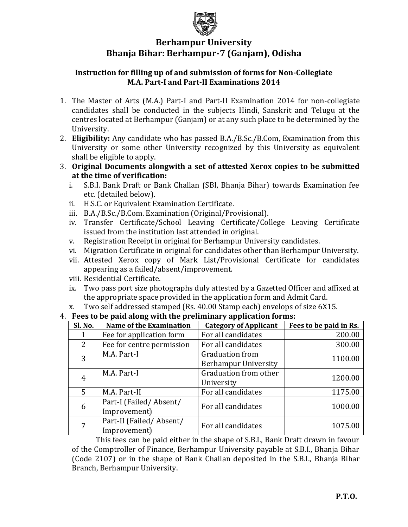

# **Berhampur University Bhanja Bihar: Berhampur-7 (Ganjam), Odisha**

## **Instruction for filling up of and submission of forms for Non-Collegiate M.A. Part-I and Part-II Examinations 2014**

- 1. The Master of Arts (M.A.) Part-I and Part-II Examination 2014 for non-collegiate candidates shall be conducted in the subjects Hindi, Sanskrit and Telugu at the centres located at Berhampur (Ganjam) or at any such place to be determined by the University.
- 2. **Eligibility:** Any candidate who has passed B.A./B.Sc./B.Com, Examination from this University or some other University recognized by this University as equivalent shall be eligible to apply.
- 3. **Original Documents alongwith a set of attested Xerox copies to be submitted at the time of verification:**
	- i. S.B.I. Bank Draft or Bank Challan (SBI, Bhanja Bihar) towards Examination fee etc. (detailed below).
	- ii. H.S.C. or Equivalent Examination Certificate.
	- iii. B.A./B.Sc./B.Com. Examination (Original/Provisional).
	- iv. Transfer Certificate/School Leaving Certificate/College Leaving Certificate issued from the institution last attended in original.
	- v. Registration Receipt in original for Berhampur University candidates.
	- vi. Migration Certificate in original for candidates other than Berhampur University.
	- vii. Attested Xerox copy of Mark List/Provisional Certificate for candidates appearing as a failed/absent/improvement.
	- viii. Residential Certificate.
	- ix. Two pass port size photographs duly attested by a Gazetted Officer and affixed at the appropriate space provided in the application form and Admit Card.
- x. Two self addressed stamped (Rs. 40.00 Stamp each) envelops of size 6X15.

## 4. **Fees to be paid along with the preliminary application forms:**

| Sl. No. | <b>Name of the Examination</b>          | <b>Category of Applicant</b>                          | Fees to be paid in Rs. |
|---------|-----------------------------------------|-------------------------------------------------------|------------------------|
|         | Fee for application form                | For all candidates                                    | 200.00                 |
| 2       | Fee for centre permission               | For all candidates                                    | 300.00                 |
| 3       | M.A. Part-I                             | <b>Graduation from</b><br><b>Berhampur University</b> | 1100.00                |
| 4       | M.A. Part-I                             | Graduation from other<br>University                   | 1200.00                |
| 5       | M.A. Part-II                            | For all candidates                                    | 1175.00                |
| 6       | Part-I (Failed/Absent/<br>Improvement)  | For all candidates                                    | 1000.00                |
|         | Part-II (Failed/Absent/<br>Improvement) | For all candidates                                    | 1075.00                |

This fees can be paid either in the shape of S.B.I., Bank Draft drawn in favour of the Comptroller of Finance, Berhampur University payable at S.B.I., Bhanja Bihar (Code 2107) or in the shape of Bank Challan deposited in the S.B.I., Bhanja Bihar Branch, Berhampur University.